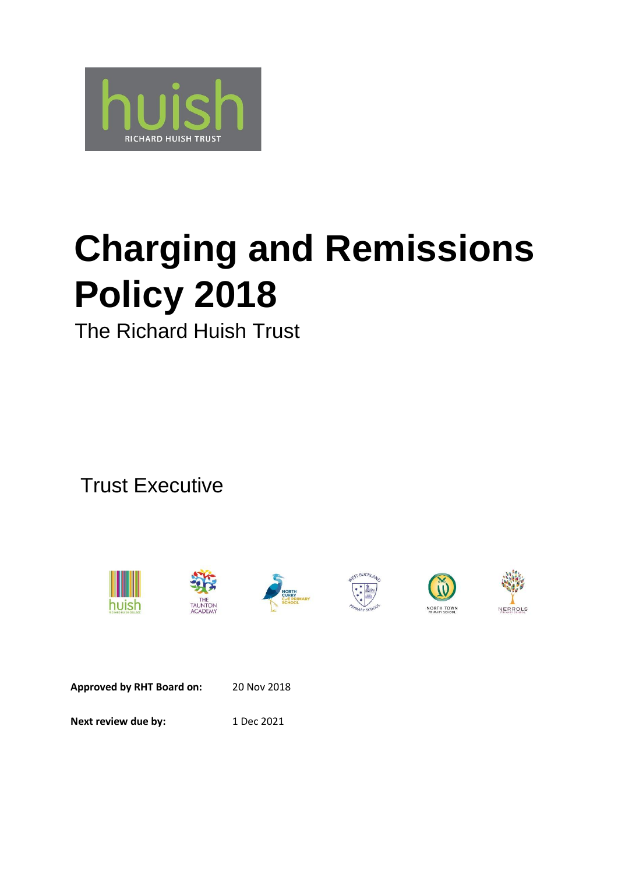

# **Charging and Remissions Policy 2018**

The Richard Huish Trust

Trust Executive













**Approved by RHT Board on:** 20 Nov 2018 **Next review due by:** 1 Dec 2021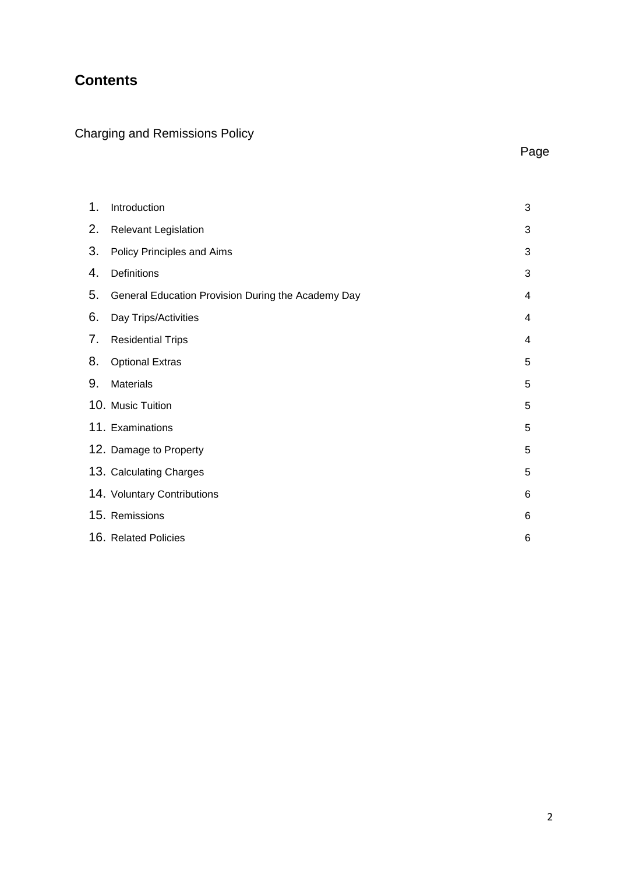# **Contents**

# Charging and Remissions Policy

| <b>STATE</b> |
|--------------|
|--------------|

| 1. | Introduction                                       | 3 |
|----|----------------------------------------------------|---|
| 2. | <b>Relevant Legislation</b>                        | 3 |
| 3. | Policy Principles and Aims                         | 3 |
| 4. | Definitions                                        | 3 |
| 5. | General Education Provision During the Academy Day | 4 |
| 6. | Day Trips/Activities                               | 4 |
| 7. | <b>Residential Trips</b>                           | 4 |
| 8. | <b>Optional Extras</b>                             | 5 |
| 9. | <b>Materials</b>                                   | 5 |
|    | 10. Music Tuition                                  | 5 |
|    | 11. Examinations                                   | 5 |
|    | 12. Damage to Property                             | 5 |
|    | 13. Calculating Charges                            | 5 |
|    | 14. Voluntary Contributions                        | 6 |
|    | 15. Remissions                                     | 6 |
|    | 16. Related Policies                               | 6 |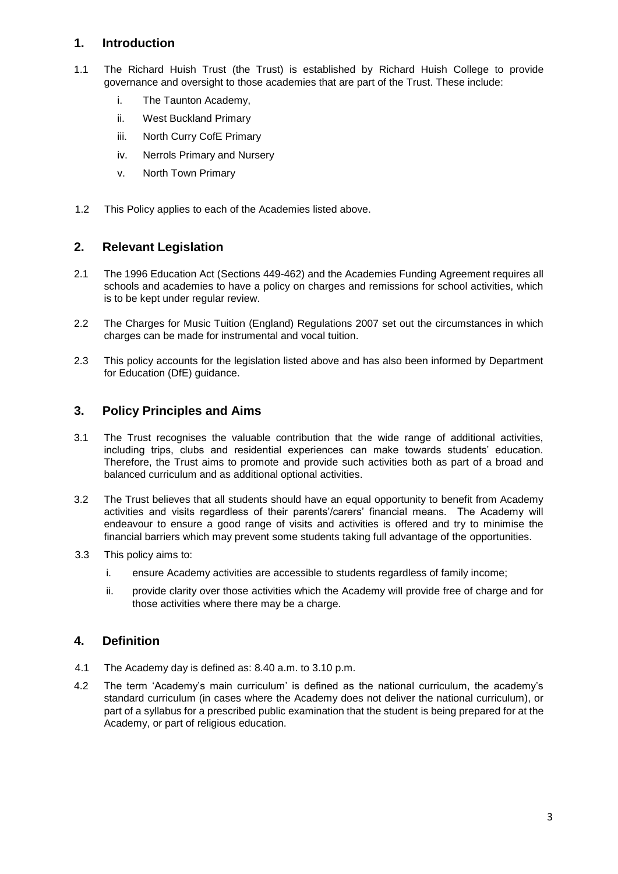# **1. Introduction**

- 1.1 The Richard Huish Trust (the Trust) is established by Richard Huish College to provide governance and oversight to those academies that are part of the Trust. These include:
	- i. The Taunton Academy,
	- ii. West Buckland Primary
	- iii. North Curry CofE Primary
	- iv. Nerrols Primary and Nursery
	- v. North Town Primary
- 1.2 This Policy applies to each of the Academies listed above.

# **2. Relevant Legislation**

- 2.1 The 1996 Education Act (Sections 449-462) and the Academies Funding Agreement requires all schools and academies to have a policy on charges and remissions for school activities, which is to be kept under regular review.
- 2.2 The Charges for Music Tuition (England) Regulations 2007 set out the circumstances in which charges can be made for instrumental and vocal tuition.
- 2.3 This policy accounts for the legislation listed above and has also been informed by Department for Education (DfE) guidance.

# **3. Policy Principles and Aims**

- 3.1 The Trust recognises the valuable contribution that the wide range of additional activities, including trips, clubs and residential experiences can make towards students' education. Therefore, the Trust aims to promote and provide such activities both as part of a broad and balanced curriculum and as additional optional activities.
- 3.2 The Trust believes that all students should have an equal opportunity to benefit from Academy activities and visits regardless of their parents'/carers' financial means. The Academy will endeavour to ensure a good range of visits and activities is offered and try to minimise the financial barriers which may prevent some students taking full advantage of the opportunities.
- 3.3 This policy aims to:
	- i. ensure Academy activities are accessible to students regardless of family income;
	- ii. provide clarity over those activities which the Academy will provide free of charge and for those activities where there may be a charge.

#### **4. Definition**

- 4.1 The Academy day is defined as: 8.40 a.m. to 3.10 p.m.
- 4.2 The term 'Academy's main curriculum' is defined as the national curriculum, the academy's standard curriculum (in cases where the Academy does not deliver the national curriculum), or part of a syllabus for a prescribed public examination that the student is being prepared for at the Academy, or part of religious education.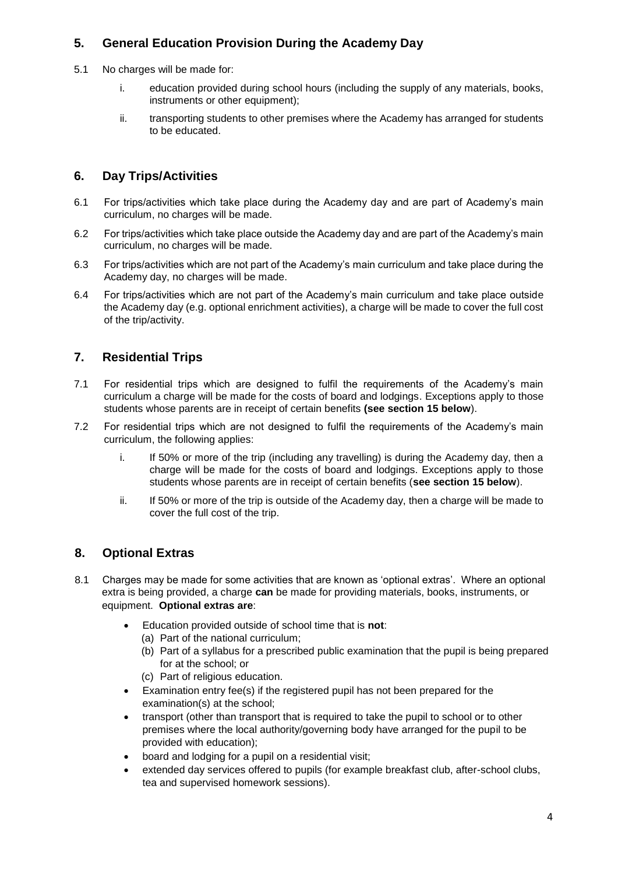# **5. General Education Provision During the Academy Day**

- 5.1 No charges will be made for:
	- i. education provided during school hours (including the supply of any materials, books, instruments or other equipment);
	- ii. transporting students to other premises where the Academy has arranged for students to be educated.

# **6. Day Trips/Activities**

- 6.1 For trips/activities which take place during the Academy day and are part of Academy's main curriculum, no charges will be made.
- 6.2 For trips/activities which take place outside the Academy day and are part of the Academy's main curriculum, no charges will be made.
- 6.3 For trips/activities which are not part of the Academy's main curriculum and take place during the Academy day, no charges will be made.
- 6.4 For trips/activities which are not part of the Academy's main curriculum and take place outside the Academy day (e.g. optional enrichment activities), a charge will be made to cover the full cost of the trip/activity.

# **7. Residential Trips**

- 7.1 For residential trips which are designed to fulfil the requirements of the Academy's main curriculum a charge will be made for the costs of board and lodgings. Exceptions apply to those students whose parents are in receipt of certain benefits **(see section 15 below**).
- 7.2 For residential trips which are not designed to fulfil the requirements of the Academy's main curriculum, the following applies:
	- i. If 50% or more of the trip (including any travelling) is during the Academy day, then a charge will be made for the costs of board and lodgings. Exceptions apply to those students whose parents are in receipt of certain benefits (**see section 15 below**).
	- ii. If 50% or more of the trip is outside of the Academy day, then a charge will be made to cover the full cost of the trip.

# **8. Optional Extras**

- 8.1 Charges may be made for some activities that are known as 'optional extras'. Where an optional extra is being provided, a charge **can** be made for providing materials, books, instruments, or equipment. **Optional extras are**:
	- Education provided outside of school time that is **not**:
		- (a) Part of the national curriculum;
		- (b) Part of a syllabus for a prescribed public examination that the pupil is being prepared for at the school; or
		- (c) Part of religious education.
	- Examination entry fee(s) if the registered pupil has not been prepared for the examination(s) at the school;
	- transport (other than transport that is required to take the pupil to school or to other premises where the local authority/governing body have arranged for the pupil to be provided with education);
	- board and lodging for a pupil on a residential visit;
	- extended day services offered to pupils (for example breakfast club, after-school clubs, tea and supervised homework sessions).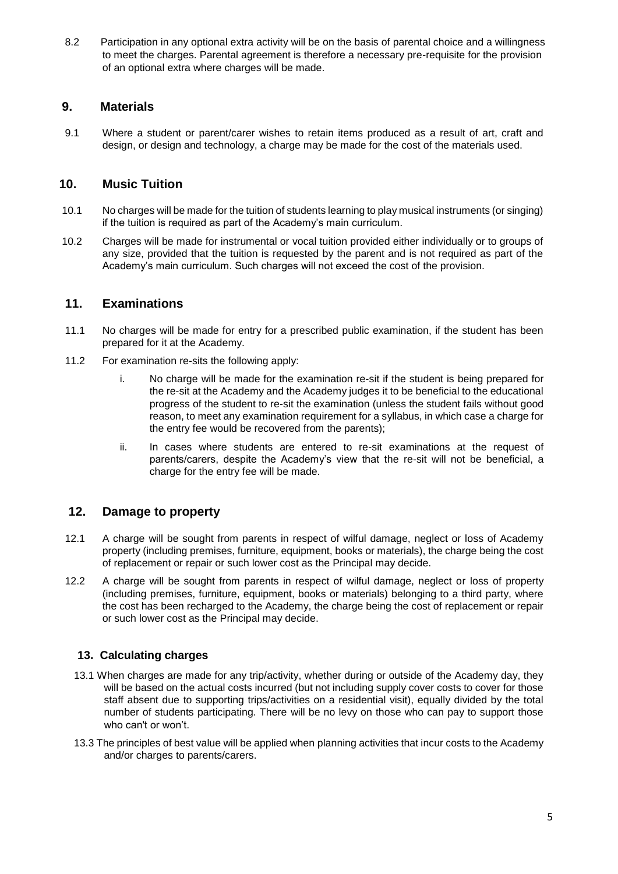8.2 Participation in any optional extra activity will be on the basis of parental choice and a willingness to meet the charges. Parental agreement is therefore a necessary pre-requisite for the provision of an optional extra where charges will be made.

# **9. Materials**

9.1 Where a student or parent/carer wishes to retain items produced as a result of art, craft and design, or design and technology, a charge may be made for the cost of the materials used.

#### **10. Music Tuition**

- 10.1 No charges will be made for the tuition of students learning to play musical instruments (or singing) if the tuition is required as part of the Academy's main curriculum.
- 10.2 Charges will be made for instrumental or vocal tuition provided either individually or to groups of any size, provided that the tuition is requested by the parent and is not required as part of the Academy's main curriculum. Such charges will not exceed the cost of the provision.

#### **11. Examinations**

- 11.1 No charges will be made for entry for a prescribed public examination, if the student has been prepared for it at the Academy.
- 11.2 For examination re-sits the following apply:
	- i. No charge will be made for the examination re-sit if the student is being prepared for the re-sit at the Academy and the Academy judges it to be beneficial to the educational progress of the student to re-sit the examination (unless the student fails without good reason, to meet any examination requirement for a syllabus, in which case a charge for the entry fee would be recovered from the parents);
	- ii. In cases where students are entered to re-sit examinations at the request of parents/carers, despite the Academy's view that the re-sit will not be beneficial, a charge for the entry fee will be made.

#### **12. Damage to property**

- 12.1 A charge will be sought from parents in respect of wilful damage, neglect or loss of Academy property (including premises, furniture, equipment, books or materials), the charge being the cost of replacement or repair or such lower cost as the Principal may decide.
- 12.2 A charge will be sought from parents in respect of wilful damage, neglect or loss of property (including premises, furniture, equipment, books or materials) belonging to a third party, where the cost has been recharged to the Academy, the charge being the cost of replacement or repair or such lower cost as the Principal may decide.

#### **13. Calculating charges**

- 13.1 When charges are made for any trip/activity, whether during or outside of the Academy day, they will be based on the actual costs incurred (but not including supply cover costs to cover for those staff absent due to supporting trips/activities on a residential visit), equally divided by the total number of students participating. There will be no levy on those who can pay to support those who can't or won't.
- 13.3 The principles of best value will be applied when planning activities that incur costs to the Academy and/or charges to parents/carers.